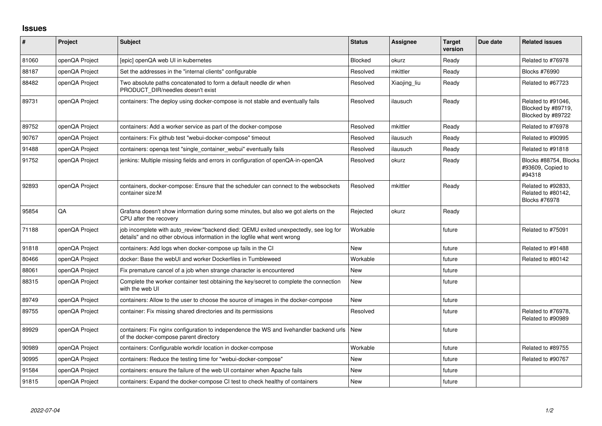## **Issues**

| #     | Project        | <b>Subject</b>                                                                                                                                                   | <b>Status</b> | <b>Assignee</b> | <b>Target</b><br>version | Due date | <b>Related issues</b>                                         |
|-------|----------------|------------------------------------------------------------------------------------------------------------------------------------------------------------------|---------------|-----------------|--------------------------|----------|---------------------------------------------------------------|
| 81060 | openQA Project | [epic] openQA web UI in kubernetes                                                                                                                               | Blocked       | okurz           | Ready                    |          | Related to #76978                                             |
| 88187 | openQA Project | Set the addresses in the "internal clients" configurable                                                                                                         | Resolved      | mkittler        | Ready                    |          | <b>Blocks #76990</b>                                          |
| 88482 | openQA Project | Two absolute paths concatenated to form a default needle dir when<br>PRODUCT DIR/needles doesn't exist                                                           | Resolved      | Xiaojing liu    | Ready                    |          | Related to #67723                                             |
| 89731 | openQA Project | containers: The deploy using docker-compose is not stable and eventually fails                                                                                   | Resolved      | ilausuch        | Ready                    |          | Related to #91046,<br>Blocked by #89719,<br>Blocked by #89722 |
| 89752 | openQA Project | containers: Add a worker service as part of the docker-compose                                                                                                   | Resolved      | mkittler        | Ready                    |          | Related to #76978                                             |
| 90767 | openQA Project | containers: Fix github test "webui-docker-compose" timeout                                                                                                       | Resolved      | ilausuch        | Ready                    |          | Related to #90995                                             |
| 91488 | openQA Project | containers: openga test "single container webui" eventually fails                                                                                                | Resolved      | ilausuch        | Ready                    |          | Related to #91818                                             |
| 91752 | openQA Project | jenkins: Multiple missing fields and errors in configuration of openQA-in-openQA                                                                                 | Resolved      | okurz           | Ready                    |          | Blocks #88754, Blocks<br>#93609, Copied to<br>#94318          |
| 92893 | openQA Project | containers, docker-compose: Ensure that the scheduler can connect to the websockets<br>container size:M                                                          | Resolved      | mkittler        | Ready                    |          | Related to #92833,<br>Related to #80142,<br>Blocks #76978     |
| 95854 | QA             | Grafana doesn't show information during some minutes, but also we got alerts on the<br>CPU after the recovery                                                    | Rejected      | okurz           | Ready                    |          |                                                               |
| 71188 | openQA Project | job incomplete with auto_review:"backend died: QEMU exited unexpectedly, see log for<br>details" and no other obvious information in the logfile what went wrong | Workable      |                 | future                   |          | Related to #75091                                             |
| 91818 | openQA Project | containers: Add logs when docker-compose up fails in the CI                                                                                                      | <b>New</b>    |                 | future                   |          | Related to #91488                                             |
| 80466 | openQA Project | docker: Base the webUI and worker Dockerfiles in Tumbleweed                                                                                                      | Workable      |                 | future                   |          | Related to #80142                                             |
| 88061 | openQA Project | Fix premature cancel of a job when strange character is encountered                                                                                              | <b>New</b>    |                 | future                   |          |                                                               |
| 88315 | openQA Project | Complete the worker container test obtaining the key/secret to complete the connection<br>with the web UI                                                        | <b>New</b>    |                 | future                   |          |                                                               |
| 89749 | openQA Project | containers: Allow to the user to choose the source of images in the docker-compose                                                                               | <b>New</b>    |                 | future                   |          |                                                               |
| 89755 | openQA Project | container: Fix missing shared directories and its permissions                                                                                                    | Resolved      |                 | future                   |          | Related to #76978,<br>Related to #90989                       |
| 89929 | openQA Project | containers: Fix nginx configuration to independence the WS and livehandler backend urls<br>of the docker-compose parent directory                                | <b>New</b>    |                 | future                   |          |                                                               |
| 90989 | openQA Project | containers: Configurable workdir location in docker-compose                                                                                                      | Workable      |                 | future                   |          | Related to #89755                                             |
| 90995 | openQA Project | containers: Reduce the testing time for "webui-docker-compose"                                                                                                   | <b>New</b>    |                 | future                   |          | Related to #90767                                             |
| 91584 | openQA Project | containers: ensure the failure of the web UI container when Apache fails                                                                                         | <b>New</b>    |                 | future                   |          |                                                               |
| 91815 | openQA Project | containers: Expand the docker-compose CI test to check healthy of containers                                                                                     | <b>New</b>    |                 | future                   |          |                                                               |